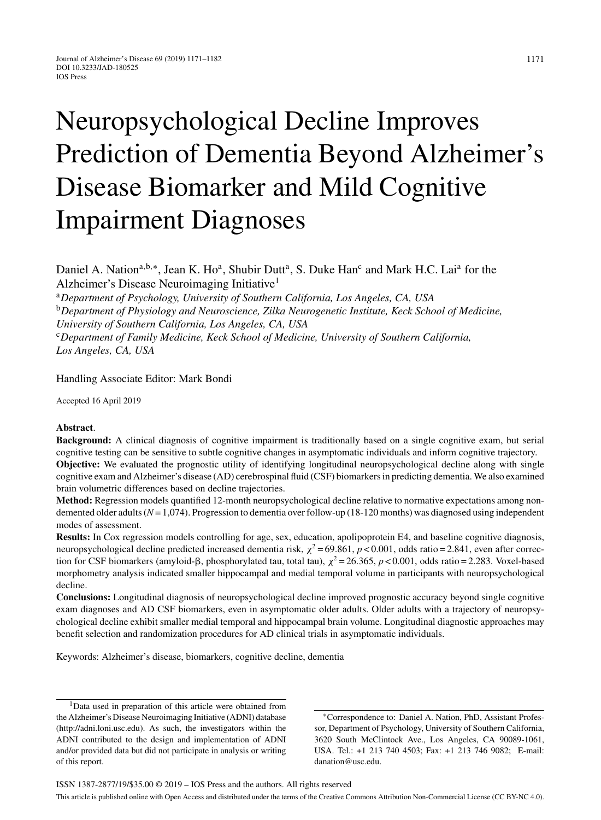# Neuropsychological Decline Improves Prediction of Dementia Beyond Alzheimer's Disease Biomarker and Mild Cognitive Impairment Diagnoses

Daniel A. Nation<sup>a,b,∗</sup>, Jean K. Ho<sup>a</sup>, Shubir Dutt<sup>a</sup>, S. Duke Han<sup>c</sup> and Mark H.C. Lai<sup>a</sup> for the Alzheimer's Disease Neuroimaging Initiative1

<sup>a</sup>*Department of Psychology, University of Southern California, Los Angeles, CA, USA* <sup>b</sup>*Department of Physiology and Neuroscience, Zilka Neurogenetic Institute, Keck School of Medicine,*

*University of Southern California, Los Angeles, CA, USA*

<sup>c</sup>*Department of Family Medicine, Keck School of Medicine, University of Southern California, Los Angeles, CA, USA*

Handling Associate Editor: Mark Bondi

Accepted 16 April 2019

# **Abstract**.

**Background:** A clinical diagnosis of cognitive impairment is traditionally based on a single cognitive exam, but serial cognitive testing can be sensitive to subtle cognitive changes in asymptomatic individuals and inform cognitive trajectory.

**Objective:** We evaluated the prognostic utility of identifying longitudinal neuropsychological decline along with single cognitive exam and Alzheimer's disease (AD) cerebrospinal fluid (CSF) biomarkers in predicting dementia. We also examined brain volumetric differences based on decline trajectories.

**Method:** Regression models quantified 12-month neuropsychological decline relative to normative expectations among nondemented older adults (*N*= 1,074). Progression to dementia over follow-up (18-120 months) was diagnosed using independent modes of assessment.

**Results:** In Cox regression models controlling for age, sex, education, apolipoprotein E4, and baseline cognitive diagnosis, neuropsychological decline predicted increased dementia risk,  $\chi^2$  = 69.861, *p* < 0.001, odds ratio = 2.841, even after correction for CSF biomarkers (amyloid- $\beta$ , phosphorylated tau, total tau),  $\chi^2 = 26.365$ ,  $p < 0.001$ , odds ratio = 2.283. Voxel-based morphometry analysis indicated smaller hippocampal and medial temporal volume in participants with neuropsychological decline.

**Conclusions:** Longitudinal diagnosis of neuropsychological decline improved prognostic accuracy beyond single cognitive exam diagnoses and AD CSF biomarkers, even in asymptomatic older adults. Older adults with a trajectory of neuropsychological decline exhibit smaller medial temporal and hippocampal brain volume. Longitudinal diagnostic approaches may benefit selection and randomization procedures for AD clinical trials in asymptomatic individuals.

Keywords: Alzheimer's disease, biomarkers, cognitive decline, dementia

<sup>1</sup>Data used in preparation of this article were obtained from the Alzheimer's Disease Neuroimaging Initiative (ADNI) database ([http://adni.loni.usc.edu\)](http://adni.loni.usc.edu). As such, the investigators within the ADNI contributed to the design and implementation of ADNI and/or provided data but did not participate in analysis or writing of this report.

∗Correspondence to: Daniel A. Nation, PhD, Assistant Professor, Department of Psychology, University of Southern California, 3620 South McClintock Ave., Los Angeles, CA 90089-1061, USA. Tel.: +1 213 740 4503; Fax: +1 213 746 9082; E-mail: [danation@usc.edu.](mailto:danation@usc.edu)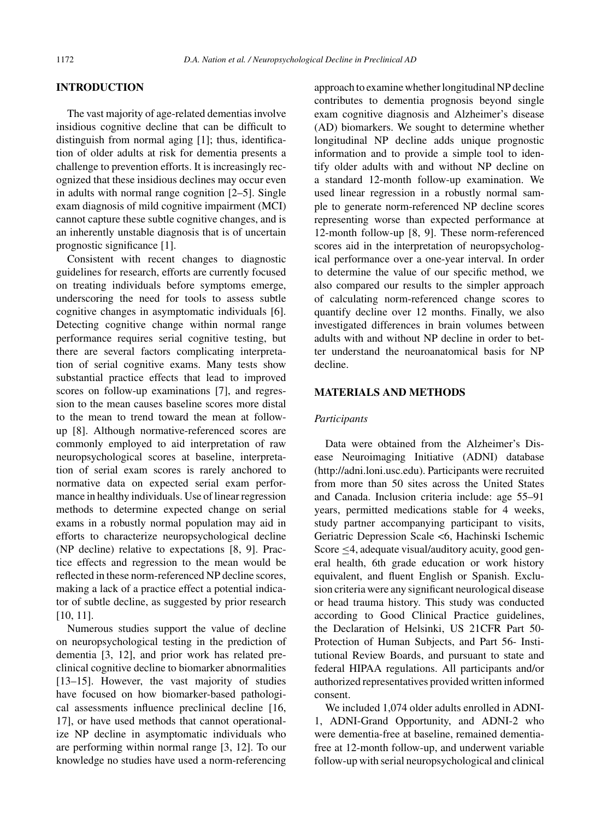# **INTRODUCTION**

The vast majority of age-related dementias involve insidious cognitive decline that can be difficult to distinguish from normal aging [1]; thus, identification of older adults at risk for dementia presents a challenge to prevention efforts. It is increasingly recognized that these insidious declines may occur even in adults with normal range cognition [2–5]. Single exam diagnosis of mild cognitive impairment (MCI) cannot capture these subtle cognitive changes, and is an inherently unstable diagnosis that is of uncertain prognostic significance [1].

Consistent with recent changes to diagnostic guidelines for research, efforts are currently focused on treating individuals before symptoms emerge, underscoring the need for tools to assess subtle cognitive changes in asymptomatic individuals [6]. Detecting cognitive change within normal range performance requires serial cognitive testing, but there are several factors complicating interpretation of serial cognitive exams. Many tests show substantial practice effects that lead to improved scores on follow-up examinations [7], and regression to the mean causes baseline scores more distal to the mean to trend toward the mean at followup [8]. Although normative-referenced scores are commonly employed to aid interpretation of raw neuropsychological scores at baseline, interpretation of serial exam scores is rarely anchored to normative data on expected serial exam performance in healthy individuals. Use of linear regression methods to determine expected change on serial exams in a robustly normal population may aid in efforts to characterize neuropsychological decline (NP decline) relative to expectations [8, 9]. Practice effects and regression to the mean would be reflected in these norm-referenced NP decline scores, making a lack of a practice effect a potential indicator of subtle decline, as suggested by prior research [10, 11].

Numerous studies support the value of decline on neuropsychological testing in the prediction of dementia [3, 12], and prior work has related preclinical cognitive decline to biomarker abnormalities [13–15]. However, the vast majority of studies have focused on how biomarker-based pathological assessments influence preclinical decline [16, 17], or have used methods that cannot operationalize NP decline in asymptomatic individuals who are performing within normal range [3, 12]. To our knowledge no studies have used a norm-referencing

approach to examine whether longitudinal NP decline contributes to dementia prognosis beyond single exam cognitive diagnosis and Alzheimer's disease (AD) biomarkers. We sought to determine whether longitudinal NP decline adds unique prognostic information and to provide a simple tool to identify older adults with and without NP decline on a standard 12-month follow-up examination. We used linear regression in a robustly normal sample to generate norm-referenced NP decline scores representing worse than expected performance at 12-month follow-up [8, 9]. These norm-referenced scores aid in the interpretation of neuropsychological performance over a one-year interval. In order to determine the value of our specific method, we also compared our results to the simpler approach of calculating norm-referenced change scores to quantify decline over 12 months. Finally, we also investigated differences in brain volumes between adults with and without NP decline in order to better understand the neuroanatomical basis for NP decline.

# **MATERIALS AND METHODS**

# *Participants*

Data were obtained from the Alzheimer's Disease Neuroimaging Initiative (ADNI) database (http://adni.loni.usc.edu). Participants were recruited from more than 50 sites across the United States and Canada. Inclusion criteria include: age 55–91 years, permitted medications stable for 4 weeks, study partner accompanying participant to visits, Geriatric Depression Scale <6, Hachinski Ischemic Score ≤4, adequate visual/auditory acuity, good general health, 6th grade education or work history equivalent, and fluent English or Spanish. Exclusion criteria were any significant neurological disease or head trauma history. This study was conducted according to Good Clinical Practice guidelines, the Declaration of Helsinki, US 21CFR Part 50- Protection of Human Subjects, and Part 56- Institutional Review Boards, and pursuant to state and federal HIPAA regulations. All participants and/or authorized representatives provided written informed consent.

We included 1,074 older adults enrolled in ADNI-1, ADNI-Grand Opportunity, and ADNI-2 who were dementia-free at baseline, remained dementiafree at 12-month follow-up, and underwent variable follow-up with serial neuropsychological and clinical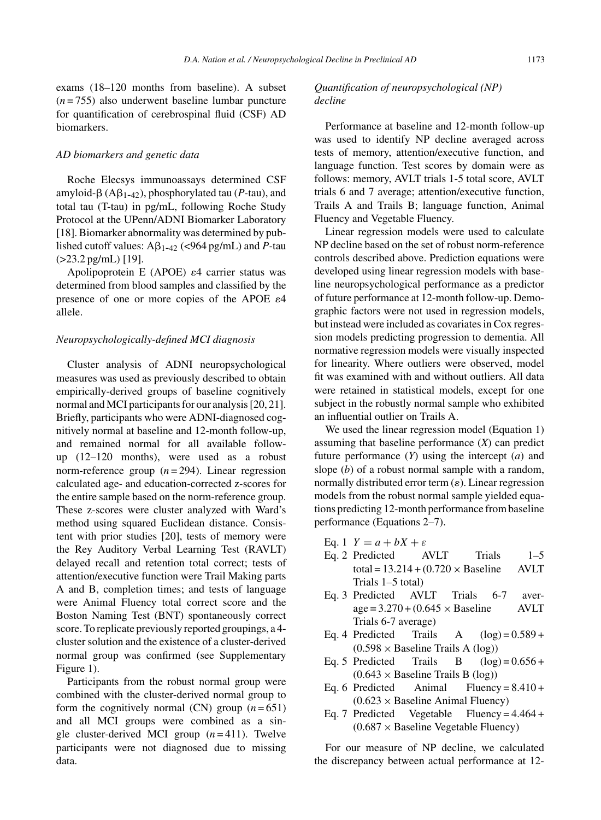exams (18–120 months from baseline). A subset (*n* = 755) also underwent baseline lumbar puncture for quantification of cerebrospinal fluid (CSF) AD biomarkers.

#### *AD biomarkers and genetic data*

Roche Elecsys immunoassays determined CSF  $amyloid- $\beta$  (A $\beta_{1-42}$ ), phosphorylated tau (*P*-tau), and$ total tau (T-tau) in pg/mL, following Roche Study Protocol at the UPenn/ADNI Biomarker Laboratory [18]. Biomarker abnormality was determined by published cutoff values:  $A\beta_{1-42}$  (<964 pg/mL) and *P*-tau (>23.2 pg/mL) [19].

Apolipoprotein E (APOE)  $\varepsilon$ 4 carrier status was determined from blood samples and classified by the presence of one or more copies of the APOE  $\varepsilon$ 4 allele.

# *Neuropsychologically-defined MCI diagnosis*

Cluster analysis of ADNI neuropsychological measures was used as previously described to obtain empirically-derived groups of baseline cognitively normal and MCI participants for our analysis [20, 21]. Briefly, participants who were ADNI-diagnosed cognitively normal at baseline and 12-month follow-up, and remained normal for all available followup (12–120 months), were used as a robust norm-reference group  $(n=294)$ . Linear regression calculated age- and education-corrected z-scores for the entire sample based on the norm-reference group. These z-scores were cluster analyzed with Ward's method using squared Euclidean distance. Consistent with prior studies [20], tests of memory were the Rey Auditory Verbal Learning Test (RAVLT) delayed recall and retention total correct; tests of attention/executive function were Trail Making parts A and B, completion times; and tests of language were Animal Fluency total correct score and the Boston Naming Test (BNT) spontaneously correct score. To replicate previously reported groupings, a 4 cluster solution and the existence of a cluster-derived normal group was confirmed (see Supplementary Figure 1).

Participants from the robust normal group were combined with the cluster-derived normal group to form the cognitively normal (CN) group  $(n=651)$ and all MCI groups were combined as a single cluster-derived MCI group (*n* = 411). Twelve participants were not diagnosed due to missing data.

# *Quantification of neuropsychological (NP) decline*

Performance at baseline and 12-month follow-up was used to identify NP decline averaged across tests of memory, attention/executive function, and language function. Test scores by domain were as follows: memory, AVLT trials 1-5 total score, AVLT trials 6 and 7 average; attention/executive function, Trails A and Trails B; language function, Animal Fluency and Vegetable Fluency.

Linear regression models were used to calculate NP decline based on the set of robust norm-reference controls described above. Prediction equations were developed using linear regression models with baseline neuropsychological performance as a predictor of future performance at 12-month follow-up. Demographic factors were not used in regression models, but instead were included as covariates in Cox regression models predicting progression to dementia. All normative regression models were visually inspected for linearity. Where outliers were observed, model fit was examined with and without outliers. All data were retained in statistical models, except for one subject in the robustly normal sample who exhibited an influential outlier on Trails A.

We used the linear regression model (Equation 1) assuming that baseline performance (*X*) can predict future performance (*Y*) using the intercept (*a*) and slope (*b*) of a robust normal sample with a random, normally distributed error term  $(\varepsilon)$ . Linear regression models from the robust normal sample yielded equations predicting 12-month performance from baseline performance (Equations 2–7).

- 
- Eq. 1  $Y = a + bX + \varepsilon$ <br>Eq. 2 Predicted AVLT Eq. 2 Predicted AVLT Trials 1–5 total =  $13.214 + (0.720 \times$  Baseline AVLT Trials 1–5 total)
- Eq. 3 Predicted AVLT Trials 6-7 aver $age = 3.270 + (0.645 \times Baseline$  AVLT Trials 6-7 average)
- Eq. 4 Predicted Trails A  $(log) = 0.589 +$  $(0.598 \times$  Baseline Trails A (log))<br>Predicted Trails B (log)=0.656 +
- Eq. 5 Predicted  $(0.643 \times$  Baseline Trails B (log))<br>Eq. 6 Predicted Animal Fluency
- $Fluency = 8.410 +$  $(0.623 \times$  Baseline Animal Fluency)<br>Eq. 7 Predicted Vegetable Fluency =
- Fluency =  $4.464 +$  $(0.687 \times$  Baseline Vegetable Fluency)

For our measure of NP decline, we calculated the discrepancy between actual performance at 12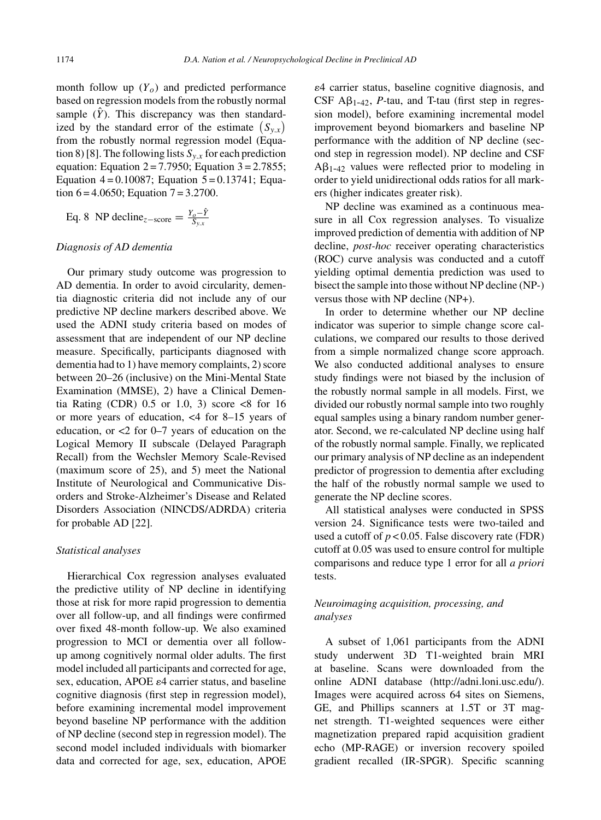month follow up  $(Y_o)$  and predicted performance based on regression models from the robustly normal sample  $(\hat{Y})$ . This discrepancy was then standardized by the standard error of the estimate  $(S_{y.x})$ from the robustly normal regression model (Equation 8) [8]. The following lists  $S_{y.x}$  for each prediction equation: Equation  $2 = 7.7950$ ; Equation  $3 = 2.7855$ ; Equation  $4 = 0.10087$ ; Equation  $5 = 0.13741$ ; Equation  $6 = 4.0650$ ; Equation  $7 = 3.2700$ .

Eq. 8 NP decline<sub>z-score</sub> = 
$$
\frac{Y_o - \hat{Y}}{S_{y.x}}
$$

# *Diagnosis of AD dementia*

Our primary study outcome was progression to AD dementia. In order to avoid circularity, dementia diagnostic criteria did not include any of our predictive NP decline markers described above. We used the ADNI study criteria based on modes of assessment that are independent of our NP decline measure. Specifically, participants diagnosed with dementia had to 1) have memory complaints, 2) score between 20–26 (inclusive) on the Mini-Mental State Examination (MMSE), 2) have a Clinical Dementia Rating (CDR)  $0.5$  or  $1.0$ ,  $3)$  score  $\lt 8$  for  $16$ or more years of education, <4 for 8–15 years of education, or <2 for 0–7 years of education on the Logical Memory II subscale (Delayed Paragraph Recall) from the Wechsler Memory Scale-Revised (maximum score of 25), and 5) meet the National Institute of Neurological and Communicative Disorders and Stroke-Alzheimer's Disease and Related Disorders Association (NINCDS/ADRDA) criteria for probable AD [22].

#### *Statistical analyses*

Hierarchical Cox regression analyses evaluated the predictive utility of NP decline in identifying those at risk for more rapid progression to dementia over all follow-up, and all findings were confirmed over fixed 48-month follow-up. We also examined progression to MCI or dementia over all followup among cognitively normal older adults. The first model included all participants and corrected for age, sex, education, APOE  $\varepsilon$ 4 carrier status, and baseline cognitive diagnosis (first step in regression model), before examining incremental model improvement beyond baseline NP performance with the addition of NP decline (second step in regression model). The second model included individuals with biomarker data and corrected for age, sex, education, APOE

4 carrier status, baseline cognitive diagnosis, and  $CSF$  A $\beta_{1-42}$ , *P*-tau, and T-tau (first step in regression model), before examining incremental model improvement beyond biomarkers and baseline NP performance with the addition of NP decline (second step in regression model). NP decline and CSF  $A\beta_{1-42}$  values were reflected prior to modeling in order to yield unidirectional odds ratios for all markers (higher indicates greater risk).

NP decline was examined as a continuous measure in all Cox regression analyses. To visualize improved prediction of dementia with addition of NP decline, *post-hoc* receiver operating characteristics (ROC) curve analysis was conducted and a cutoff yielding optimal dementia prediction was used to bisect the sample into those without NP decline (NP-) versus those with NP decline (NP+).

In order to determine whether our NP decline indicator was superior to simple change score calculations, we compared our results to those derived from a simple normalized change score approach. We also conducted additional analyses to ensure study findings were not biased by the inclusion of the robustly normal sample in all models. First, we divided our robustly normal sample into two roughly equal samples using a binary random number generator. Second, we re-calculated NP decline using half of the robustly normal sample. Finally, we replicated our primary analysis of NP decline as an independent predictor of progression to dementia after excluding the half of the robustly normal sample we used to generate the NP decline scores.

All statistical analyses were conducted in SPSS version 24. Significance tests were two-tailed and used a cutoff of  $p < 0.05$ . False discovery rate (FDR) cutoff at 0.05 was used to ensure control for multiple comparisons and reduce type 1 error for all *a priori* tests.

# *Neuroimaging acquisition, processing, and analyses*

A subset of 1,061 participants from the ADNI study underwent 3D T1-weighted brain MRI at baseline. Scans were downloaded from the online ADNI database (<http://adni.loni.usc.edu/>). Images were acquired across 64 sites on Siemens, GE, and Phillips scanners at 1.5T or 3T magnet strength. T1-weighted sequences were either magnetization prepared rapid acquisition gradient echo (MP-RAGE) or inversion recovery spoiled gradient recalled (IR-SPGR). Specific scanning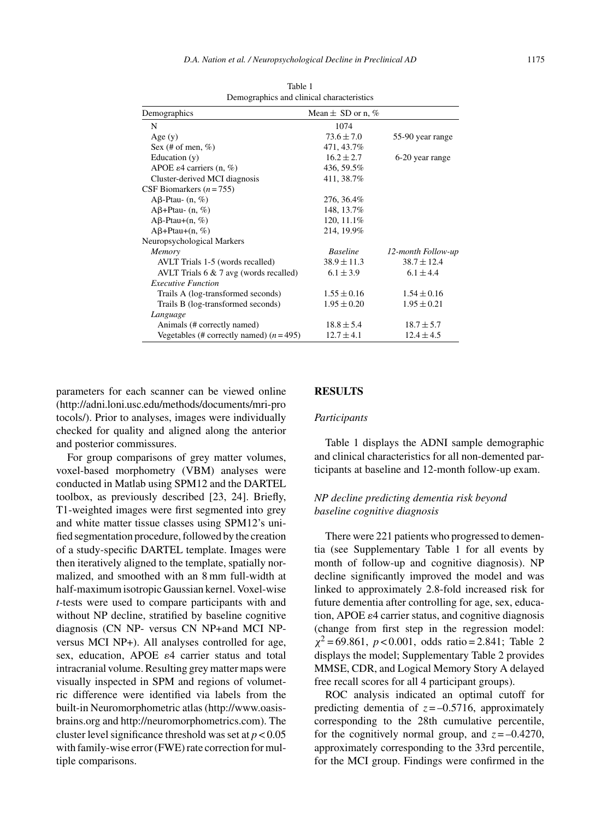| Demographics                              | Mean $\pm$ SD or n, % |                    |
|-------------------------------------------|-----------------------|--------------------|
| N                                         | 1074                  |                    |
| Age $(y)$                                 | $73.6 \pm 7.0$        | 55-90 year range   |
| Sex (# of men, $%$ )                      | 471, 43.7%            |                    |
| Education $(y)$                           | $16.2 \pm 2.7$        | 6-20 year range    |
| APOE $\varepsilon$ 4 carriers (n, %)      | 436, 59.5%            |                    |
| Cluster-derived MCI diagnosis             | 411, 38.7%            |                    |
| CSF Biomarkers $(n = 755)$                |                       |                    |
| A $\beta$ -Ptau- $(n, \%)$                | 276, 36.4%            |                    |
| $A\beta+Ptau-(n, %)$                      | 148, 13.7%            |                    |
| $A\beta$ -Ptau+ $(n, %)$                  | 120, 11.1%            |                    |
| $A\beta + Ptau+(n, %)$                    | 214, 19.9%            |                    |
| Neuropsychological Markers                |                       |                    |
| Memory                                    | <b>Baseline</b>       | 12-month Follow-up |
| AVLT Trials 1-5 (words recalled)          | $38.9 \pm 11.3$       | $38.7 \pm 12.4$    |
| AVLT Trials $6 \& 7$ avg (words recalled) | $6.1 \pm 3.9$         | $6.1 \pm 4.4$      |
| <b>Executive Function</b>                 |                       |                    |
| Trails A (log-transformed seconds)        | $1.55 \pm 0.16$       | $1.54 \pm 0.16$    |
| Trails B (log-transformed seconds)        | $1.95 \pm 0.20$       | $1.95 \pm 0.21$    |
| Language                                  |                       |                    |
| Animals (# correctly named)               | $18.8 \pm 5.4$        | $18.7 \pm 5.7$     |
| Vegetables (# correctly named) $(n=495)$  | $12.7 \pm 4.1$        | $12.4 \pm 4.5$     |

Table 1 Demographics and clinical characteristics

parameters for each scanner can be viewed online [\(http://adni.loni.usc.edu/methods/documents/mri-pro](http://adni.loni.usc.edu/methods/documents/mri-protocols/) tocols/). Prior to analyses, images were individually checked for quality and aligned along the anterior and posterior commissures.

For group comparisons of grey matter volumes, voxel-based morphometry (VBM) analyses were conducted in Matlab using SPM12 and the DARTEL toolbox, as previously described [23, 24]. Briefly, T1-weighted images were first segmented into grey and white matter tissue classes using SPM12's unified segmentation procedure, followed by the creation of a study-specific DARTEL template. Images were then iteratively aligned to the template, spatially normalized, and smoothed with an 8 mm full-width at half-maximum isotropic Gaussian kernel. Voxel-wise *t-*tests were used to compare participants with and without NP decline, stratified by baseline cognitive diagnosis (CN NP- versus CN NP+and MCI NPversus MCI NP+). All analyses controlled for age, sex, education, APOE  $\varepsilon$ 4 carrier status and total intracranial volume. Resulting grey matter maps were visually inspected in SPM and regions of volumetric difference were identified via labels from the built-in Neuromorphometric atlas (http://www.oasisbrains.org and http://neuromorphometrics.com). The cluster level significance threshold was set at *p* < 0.05 with family-wise error (FWE) rate correction for multiple comparisons.

# **RESULTS**

### *Participants*

Table 1 displays the ADNI sample demographic and clinical characteristics for all non-demented participants at baseline and 12-month follow-up exam.

# *NP decline predicting dementia risk beyond baseline cognitive diagnosis*

There were 221 patients who progressed to dementia (see Supplementary Table 1 for all events by month of follow-up and cognitive diagnosis). NP decline significantly improved the model and was linked to approximately 2.8-fold increased risk for future dementia after controlling for age, sex, education, APOE  $\varepsilon$ 4 carrier status, and cognitive diagnosis (change from first step in the regression model:  $\chi^2$  = 69.861, *p* < 0.001, odds ratio = 2.841; Table 2 displays the model; Supplementary Table 2 provides MMSE, CDR, and Logical Memory Story A delayed free recall scores for all 4 participant groups).

ROC analysis indicated an optimal cutoff for [predicting dementia of](http://www.oasis-brains.org and http://neuromorphometrics.com)  $z = -0.5716$ , approximately corresponding to the 28th cumulative percentile, for the cognitively normal group, and  $z = -0.4270$ , approximately corresponding to the 33rd percentile, for the MCI group. Findings were confirmed in the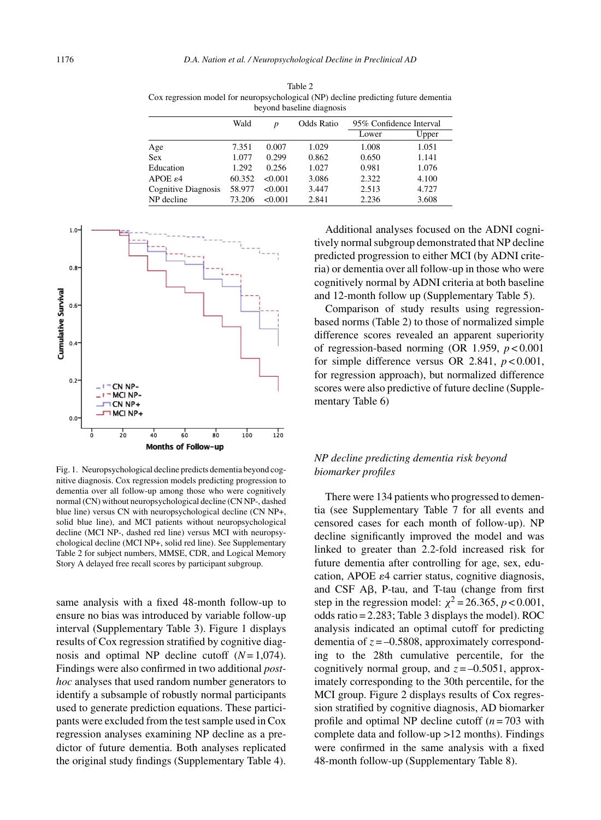Table 2

Cox regression model for neuropsychological (NP) decline predicting future dementia beyond baseline diagnosis Wald *p* Odds Ratio 95% Confidence Interval Lower Upper Age 7.351 0.007 1.029 1.008 1.051 Sex 1.077 0.299 0.862 0.650 1.141 Education 1.292 0.256 1.027 0.981 1.076<br>APOE  $\epsilon$ 4 60.352 < 0.001 3.086 2.322 4.100 APOE  $\varepsilon$ 4 60.352 <0.001 3.086 2.322 4.100

Cognitive Diagnosis 58.977 <0.001 3.447 2.513 4.727 NP decline  $73.206$  <0.001 2.841 2.236 3.608



Fig. 1. Neuropsychological decline predicts dementia beyond cognitive diagnosis. Cox regression models predicting progression to dementia over all follow-up among those who were cognitively normal (CN) without neuropsychological decline (CN NP-, dashed blue line) versus CN with neuropsychological decline (CN NP+, solid blue line), and MCI patients without neuropsychological decline (MCI NP-, dashed red line) versus MCI with neuropsychological decline (MCI NP+, solid red line). See Supplementary Table 2 for subject numbers, MMSE, CDR, and Logical Memory Story A delayed free recall scores by participant subgroup.

same analysis with a fixed 48-month follow-up to ensure no bias was introduced by variable follow-up interval (Supplementary Table 3). Figure 1 displays results of Cox regression stratified by cognitive diagnosis and optimal NP decline cutoff (*N*= 1,074). Findings were also confirmed in two additional *posthoc* analyses that used random number generators to identify a subsample of robustly normal participants used to generate prediction equations. These participants were excluded from the test sample used in Cox regression analyses examining NP decline as a predictor of future dementia. Both analyses replicated the original study findings (Supplementary Table 4).

Additional analyses focused on the ADNI cognitively normal subgroup demonstrated that NP decline predicted progression to either MCI (by ADNI criteria) or dementia over all follow-up in those who were cognitively normal by ADNI criteria at both baseline and 12-month follow up (Supplementary Table 5).

Comparison of study results using regressionbased norms (Table 2) to those of normalized simple difference scores revealed an apparent superiority of regression-based norming (OR 1.959, *p* < 0.001 for simple difference versus OR 2.841, *p* < 0.001, for regression approach), but normalized difference scores were also predictive of future decline (Supplementary Table 6)

# *NP decline predicting dementia risk beyond biomarker profiles*

There were 134 patients who progressed to dementia (see Supplementary Table 7 for all events and censored cases for each month of follow-up). NP decline significantly improved the model and was linked to greater than 2.2-fold increased risk for future dementia after controlling for age, sex, education, APOE  $\varepsilon$ 4 carrier status, cognitive diagnosis, and CSF  $\mathsf{A}\mathsf{B}$ , P-tau, and T-tau (change from first step in the regression model:  $\chi^2$  = 26.365, *p* < 0.001, odds ratio = 2.283; Table 3 displays the model). ROC analysis indicated an optimal cutoff for predicting dementia of  $z = -0.5808$ , approximately corresponding to the 28th cumulative percentile, for the cognitively normal group, and  $z = -0.5051$ , approximately corresponding to the 30th percentile, for the MCI group. Figure 2 displays results of Cox regression stratified by cognitive diagnosis, AD biomarker profile and optimal NP decline cutoff (*n* = 703 with complete data and follow-up >12 months). Findings were confirmed in the same analysis with a fixed 48-month follow-up (Supplementary Table 8).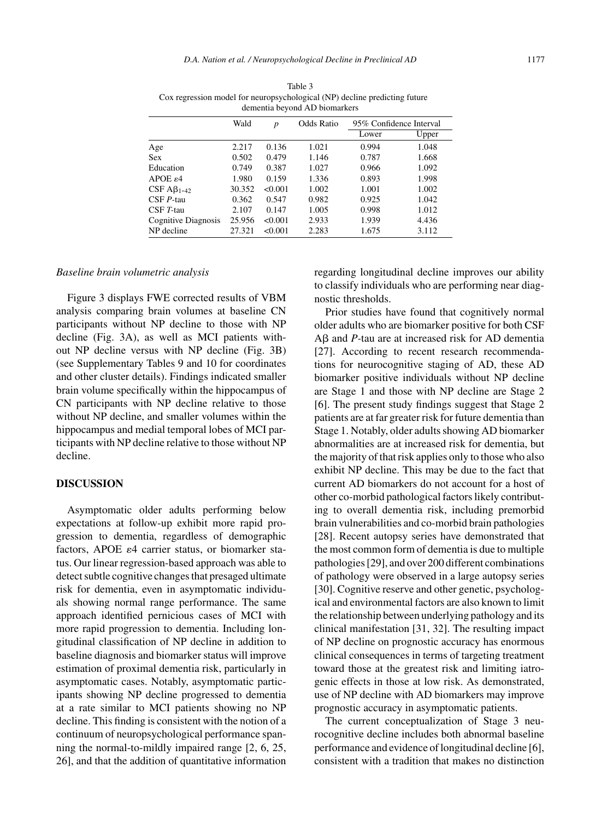|                                   | Wald   | p       | Odds Ratio | 95% Confidence Interval |       |  |
|-----------------------------------|--------|---------|------------|-------------------------|-------|--|
|                                   |        |         |            | Lower                   | Upper |  |
| Age                               | 2.217  | 0.136   | 1.021      | 0.994                   | 1.048 |  |
| <b>Sex</b>                        | 0.502  | 0.479   | 1.146      | 0.787                   | 1.668 |  |
| Education                         | 0.749  | 0.387   | 1.027      | 0.966                   | 1.092 |  |
| APOE $\varepsilon$ 4              | 1.980  | 0.159   | 1.336      | 0.893                   | 1.998 |  |
| CSF $\mathbf{A}\mathbf{B}_{1-42}$ | 30.352 | < 0.001 | 1.002      | 1.001                   | 1.002 |  |
| $CSFP-tau$                        | 0.362  | 0.547   | 0.982      | 0.925                   | 1.042 |  |
| $CSFT-tau$                        | 2.107  | 0.147   | 1.005      | 0.998                   | 1.012 |  |
| Cognitive Diagnosis               | 25.956 | < 0.001 | 2.933      | 1.939                   | 4.436 |  |
| NP decline                        | 27.321 | < 0.001 | 2.283      | 1.675                   | 3.112 |  |

Table 3 Cox regression model for neuropsychological (NP) decline predicting future dementia beyond AD biomarkers

#### *Baseline brain volumetric analysis*

Figure 3 displays FWE corrected results of VBM analysis comparing brain volumes at baseline CN participants without NP decline to those with NP decline (Fig. 3A), as well as MCI patients without NP decline versus with NP decline (Fig. 3B) (see Supplementary Tables 9 and 10 for coordinates and other cluster details). Findings indicated smaller brain volume specifically within the hippocampus of CN participants with NP decline relative to those without NP decline, and smaller volumes within the hippocampus and medial temporal lobes of MCI participants with NP decline relative to those without NP decline.

# **DISCUSSION**

Asymptomatic older adults performing below expectations at follow-up exhibit more rapid progression to dementia, regardless of demographic factors, APOE  $\varepsilon$ 4 carrier status, or biomarker status. Our linear regression-based approach was able to detect subtle cognitive changes that presaged ultimate risk for dementia, even in asymptomatic individuals showing normal range performance. The same approach identified pernicious cases of MCI with more rapid progression to dementia. Including longitudinal classification of NP decline in addition to baseline diagnosis and biomarker status will improve estimation of proximal dementia risk, particularly in asymptomatic cases. Notably, asymptomatic participants showing NP decline progressed to dementia at a rate similar to MCI patients showing no NP decline. This finding is consistent with the notion of a continuum of neuropsychological performance spanning the normal-to-mildly impaired range [2, 6, 25, 26], and that the addition of quantitative information

regarding longitudinal decline improves our ability to classify individuals who are performing near diagnostic thresholds.

Prior studies have found that cognitively normal older adults who are biomarker positive for both CSF  $A\beta$  and *P*-tau are at increased risk for AD dementia [27]. According to recent research recommendations for neurocognitive staging of AD, these AD biomarker positive individuals without NP decline are Stage 1 and those with NP decline are Stage 2 [6]. The present study findings suggest that Stage 2 patients are at far greater risk for future dementia than Stage 1. Notably, older adults showing AD biomarker abnormalities are at increased risk for dementia, but the majority of that risk applies only to those who also exhibit NP decline. This may be due to the fact that current AD biomarkers do not account for a host of other co-morbid pathological factors likely contributing to overall dementia risk, including premorbid brain vulnerabilities and co-morbid brain pathologies [28]. Recent autopsy series have demonstrated that the most common form of dementia is due to multiple pathologies [29], and over 200 different combinations of pathology were observed in a large autopsy series [30]. Cognitive reserve and other genetic, psychological and environmental factors are also known to limit the relationship between underlying pathology and its clinical manifestation [31, 32]. The resulting impact of NP decline on prognostic accuracy has enormous clinical consequences in terms of targeting treatment toward those at the greatest risk and limiting iatrogenic effects in those at low risk. As demonstrated, use of NP decline with AD biomarkers may improve prognostic accuracy in asymptomatic patients.

The current conceptualization of Stage 3 neurocognitive decline includes both abnormal baseline performance and evidence of longitudinal decline [6], consistent with a tradition that makes no distinction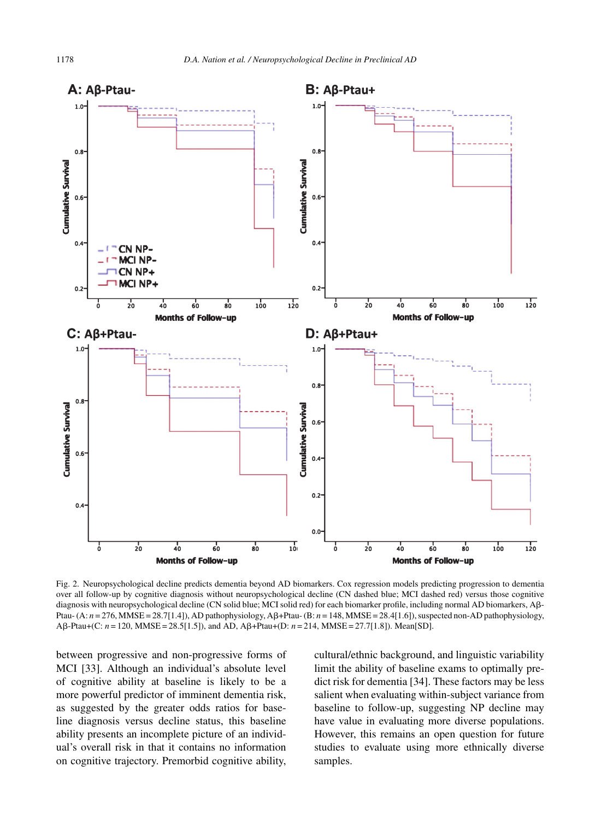

Fig. 2. Neuropsychological decline predicts dementia beyond AD biomarkers. Cox regression models predicting progression to dementia over all follow-up by cognitive diagnosis without neuropsychological decline (CN dashed blue; MCI dashed red) versus those cognitive diagnosis with neuropsychological decline (CN solid blue; MCI solid red) for each biomarker profile, including normal AD biomarkers, Aß-Ptau- (A: *n* = 276, MMSE = 28.7[1.4]), AD pathophysiology, A $\beta$ +Ptau- (B: *n* = 148, MMSE = 28.4[1.6]), suspected non-AD pathophysiology, A $\beta$ -Ptau+(C: *n* = 120, MMSE = 28.5[1.5]), and AD, A $\beta$ +Ptau+(D: *n* = 214, MMSE = 27.7[1.8]). Mean[SD].

between progressive and non-progressive forms of MCI [33]. Although an individual's absolute level of cognitive ability at baseline is likely to be a more powerful predictor of imminent dementia risk, as suggested by the greater odds ratios for baseline diagnosis versus decline status, this baseline ability presents an incomplete picture of an individual's overall risk in that it contains no information on cognitive trajectory. Premorbid cognitive ability,

cultural/ethnic background, and linguistic variability limit the ability of baseline exams to optimally predict risk for dementia [34]. These factors may be less salient when evaluating within-subject variance from baseline to follow-up, suggesting NP decline may have value in evaluating more diverse populations. However, this remains an open question for future studies to evaluate using more ethnically diverse samples.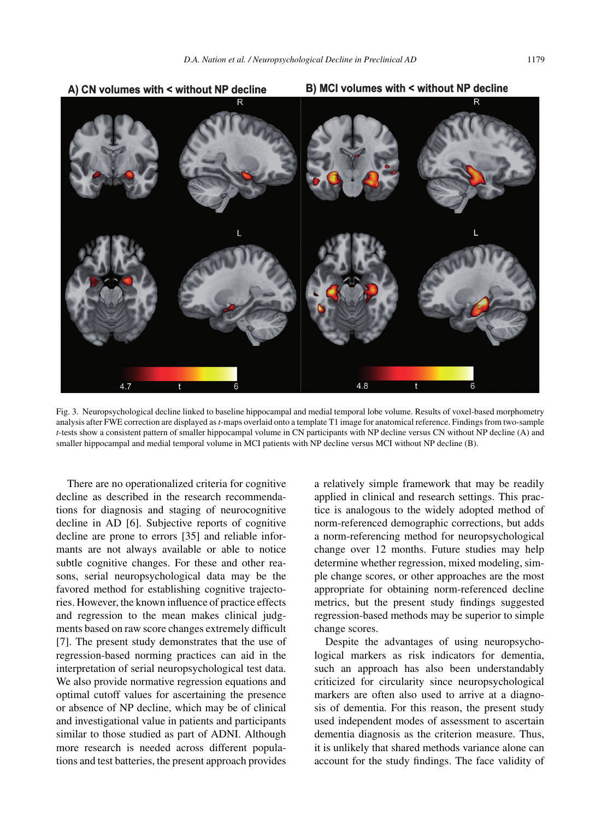

Fig. 3. Neuropsychological decline linked to baseline hippocampal and medial temporal lobe volume. Results of voxel-based morphometry analysis after FWE correction are displayed as*t*-maps overlaid onto a template T1 image for anatomical reference. Findings from two-sample *t*-tests show a consistent pattern of smaller hippocampal volume in CN participants with NP decline versus CN without NP decline (A) and smaller hippocampal and medial temporal volume in MCI patients with NP decline versus MCI without NP decline (B).

There are no operationalized criteria for cognitive decline as described in the research recommendations for diagnosis and staging of neurocognitive decline in AD [6]. Subjective reports of cognitive decline are prone to errors [35] and reliable informants are not always available or able to notice subtle cognitive changes. For these and other reasons, serial neuropsychological data may be the favored method for establishing cognitive trajectories. However, the known influence of practice effects and regression to the mean makes clinical judgments based on raw score changes extremely difficult [7]. The present study demonstrates that the use of regression-based norming practices can aid in the interpretation of serial neuropsychological test data. We also provide normative regression equations and optimal cutoff values for ascertaining the presence or absence of NP decline, which may be of clinical and investigational value in patients and participants similar to those studied as part of ADNI. Although more research is needed across different populations and test batteries, the present approach provides a relatively simple framework that may be readily applied in clinical and research settings. This practice is analogous to the widely adopted method of norm-referenced demographic corrections, but adds a norm-referencing method for neuropsychological change over 12 months. Future studies may help determine whether regression, mixed modeling, simple change scores, or other approaches are the most appropriate for obtaining norm-referenced decline metrics, but the present study findings suggested regression-based methods may be superior to simple change scores.

Despite the advantages of using neuropsychological markers as risk indicators for dementia, such an approach has also been understandably criticized for circularity since neuropsychological markers are often also used to arrive at a diagnosis of dementia. For this reason, the present study used independent modes of assessment to ascertain dementia diagnosis as the criterion measure. Thus, it is unlikely that shared methods variance alone can account for the study findings. The face validity of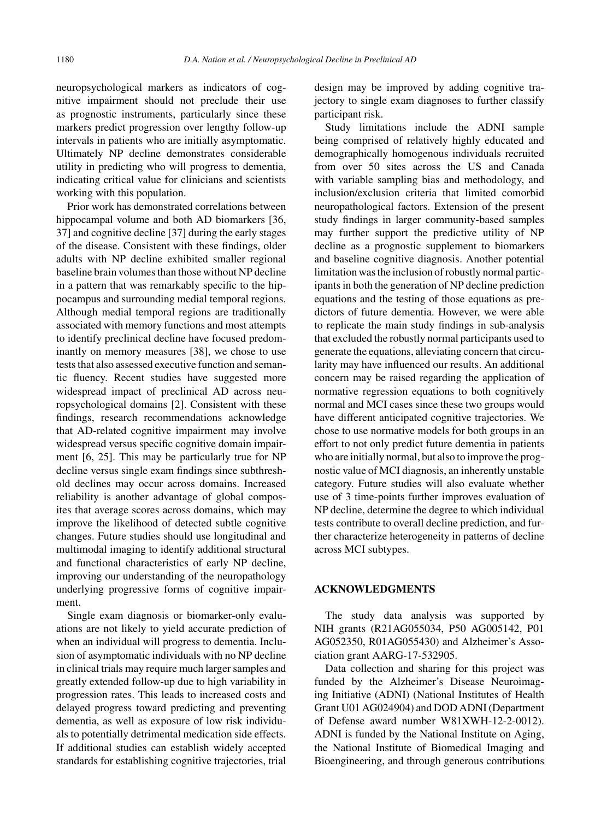neuropsychological markers as indicators of cognitive impairment should not preclude their use as prognostic instruments, particularly since these markers predict progression over lengthy follow-up intervals in patients who are initially asymptomatic. Ultimately NP decline demonstrates considerable utility in predicting who will progress to dementia, indicating critical value for clinicians and scientists working with this population.

Prior work has demonstrated correlations between hippocampal volume and both AD biomarkers [36, 37] and cognitive decline [37] during the early stages of the disease. Consistent with these findings, older adults with NP decline exhibited smaller regional baseline brain volumes than those without NP decline in a pattern that was remarkably specific to the hippocampus and surrounding medial temporal regions. Although medial temporal regions are traditionally associated with memory functions and most attempts to identify preclinical decline have focused predominantly on memory measures [38], we chose to use tests that also assessed executive function and semantic fluency. Recent studies have suggested more widespread impact of preclinical AD across neuropsychological domains [2]. Consistent with these findings, research recommendations acknowledge that AD-related cognitive impairment may involve widespread versus specific cognitive domain impairment [6, 25]. This may be particularly true for NP decline versus single exam findings since subthreshold declines may occur across domains. Increased reliability is another advantage of global composites that average scores across domains, which may improve the likelihood of detected subtle cognitive changes. Future studies should use longitudinal and multimodal imaging to identify additional structural and functional characteristics of early NP decline, improving our understanding of the neuropathology underlying progressive forms of cognitive impairment.

Single exam diagnosis or biomarker-only evaluations are not likely to yield accurate prediction of when an individual will progress to dementia. Inclusion of asymptomatic individuals with no NP decline in clinical trials may require much larger samples and greatly extended follow-up due to high variability in progression rates. This leads to increased costs and delayed progress toward predicting and preventing dementia, as well as exposure of low risk individuals to potentially detrimental medication side effects. If additional studies can establish widely accepted standards for establishing cognitive trajectories, trial

design may be improved by adding cognitive trajectory to single exam diagnoses to further classify participant risk.

Study limitations include the ADNI sample being comprised of relatively highly educated and demographically homogenous individuals recruited from over 50 sites across the US and Canada with variable sampling bias and methodology, and inclusion/exclusion criteria that limited comorbid neuropathological factors. Extension of the present study findings in larger community-based samples may further support the predictive utility of NP decline as a prognostic supplement to biomarkers and baseline cognitive diagnosis. Another potential limitation was the inclusion of robustly normal participants in both the generation of NP decline prediction equations and the testing of those equations as predictors of future dementia. However, we were able to replicate the main study findings in sub-analysis that excluded the robustly normal participants used to generate the equations, alleviating concern that circularity may have influenced our results. An additional concern may be raised regarding the application of normative regression equations to both cognitively normal and MCI cases since these two groups would have different anticipated cognitive trajectories. We chose to use normative models for both groups in an effort to not only predict future dementia in patients who are initially normal, but also to improve the prognostic value of MCI diagnosis, an inherently unstable category. Future studies will also evaluate whether use of 3 time-points further improves evaluation of NP decline, determine the degree to which individual tests contribute to overall decline prediction, and further characterize heterogeneity in patterns of decline across MCI subtypes.

# **ACKNOWLEDGMENTS**

The study data analysis was supported by NIH grants (R21AG055034, P50 AG005142, P01 AG052350, R01AG055430) and Alzheimer's Association grant AARG-17-532905.

Data collection and sharing for this project was funded by the Alzheimer's Disease Neuroimaging Initiative (ADNI) (National Institutes of Health Grant U01 AG024904) and DOD ADNI (Department of Defense award number W81XWH-12-2-0012). ADNI is funded by the National Institute on Aging, the National Institute of Biomedical Imaging and Bioengineering, and through generous contributions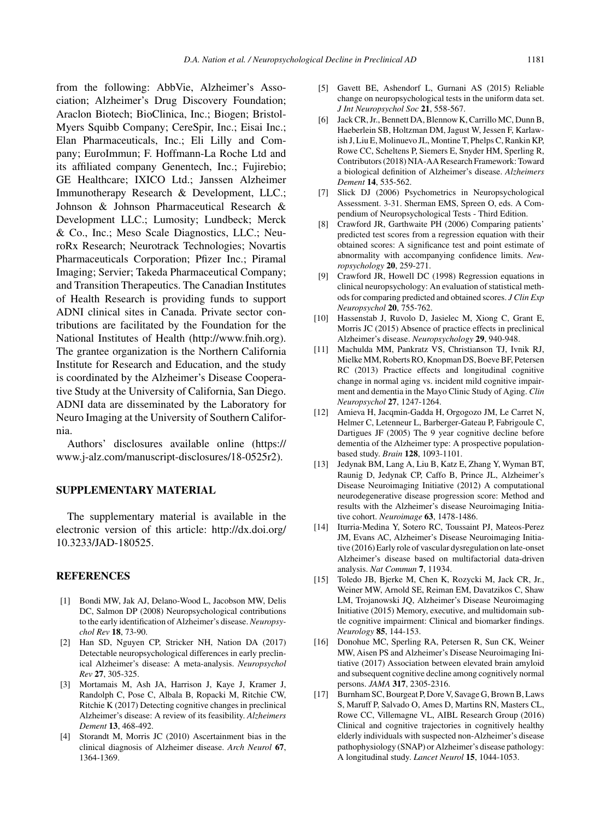from the following: AbbVie, Alzheimer's Association; Alzheimer's Drug Discovery Foundation; Araclon Biotech; BioClinica, Inc.; Biogen; Bristol-Myers Squibb Company; CereSpir, Inc.; Eisai Inc.; Elan Pharmaceuticals, Inc.; Eli Lilly and Company; EuroImmun; F. Hoffmann-La Roche Ltd and its affiliated company Genentech, Inc.; Fujirebio; GE Healthcare; IXICO Ltd.; Janssen Alzheimer Immunotherapy Research & Development, LLC.; Johnson & Johnson Pharmaceutical Research & Development LLC.; Lumosity; Lundbeck; Merck & Co., Inc.; Meso Scale Diagnostics, LLC.; NeuroRx Research; Neurotrack Technologies; Novartis Pharmaceuticals Corporation; Pfizer Inc.; Piramal Imaging; Servier; Takeda Pharmaceutical Company; and Transition Therapeutics. The Canadian Institutes of Health Research is providing funds to support ADNI clinical sites in Canada. Private sector contributions are facilitated by the Foundation for the National Institutes of Health (http://www.fnih.org). The grantee organization is the Northern California Institute for Research and Education, and the study is coordinated by the Alzheimer's Disease Cooperative Study at the University of California, San Diego. ADNI data are disseminated by the Laboratory for Neuro Imaging at the University of Southern California.

Authors' disclosures available online (https:// www.j-alz.com/manuscript-disclosures/18-0525r2).

# **SUPPLEMENTARY MATERIAL**

The supplementary material is available in the electronic version of this article: [http://dx.doi.org/](http://dx.doi.org/10.3233/JAD-180525) [10.3233/JAD-180525.](http://dx.doi.org/10.3233/JAD-180525)

#### **REFERENCES**

- [1] Bondi MW, Jak AJ, Delano-Wood L, Jacobson MW, Delis DC, Salmon DP (2008) Neuropsychological contributions to the early identification of Alzheimer's disease. *Neuropsychol Rev* **18**, 73-90.
- [2] Han SD, Nguyen CP, Stricker NH, Nation DA (2017) Detectable neuropsychological differences in early preclinical Alzheimer's disease: A meta-analysis. *Neuropsychol Rev* **27**, 305-325.
- [3] Mortamais M, Ash JA, Harrison J, Kaye J, Kramer J, Randolph C, Pose C, Albala B, Ropacki M, Ritchie CW, Ritchie K (2017) Detecting cognitive changes in preclinical Alzheimer's disease: A review of its feasibility. *Alzheimers Dement* **13**, 468-492.
- [4] Storandt M, Morris JC (2010) Ascertainment bias in the clinical diagnosis of Alzheimer disease. *Arch Neurol* **67**, 1364-1369.
- [5] Gavett BE, Ashendorf L, Gurnani AS (2015) Reliable change on neuropsychological tests in the uniform data set. *J Int Neuropsychol Soc* **21**, 558-567.
- [6] Jack CR, Jr., Bennett DA, Blennow K, Carrillo MC, Dunn B, Haeberlein SB, Holtzman DM, Jagust W, Jessen F, Karlawish J, Liu E, Molinuevo JL, Montine T, Phelps C, Rankin KP, Rowe CC, Scheltens P, Siemers E, Snyder HM, Sperling R, Contributors (2018) NIA-AA Research Framework: Toward a biological definition of Alzheimer's disease. *Alzheimers Dement* **14**, 535-562.
- [7] Slick DJ (2006) Psychometrics in Neuropsychological Assessment. 3-31. Sherman EMS, Spreen O, eds. A Compendium of Neuropsychological Tests - Third Edition.
- [8] Crawford JR, Garthwaite PH (2006) Comparing patients' predicted test scores from a regression equation with their obtained scores: A significance test and point estimate of abnormality with accompanying confidence limits. *Neuropsychology* **20**, 259-271.
- [9] Crawford JR, Howell DC (1998) Regression equations in clinical neuropsychology: An evaluation of statistical methods for comparing predicted and obtained scores. *J Clin Exp Neuropsychol* **20**, 755-762.
- [10] Hassenstab J, Ruvolo D, Jasielec M, Xiong C, Grant E, Morris JC (2015) Absence of practice effects in preclinical Alzheimer's disease. *Neuropsychology* **29**, 940-948.
- [11] Machulda MM, Pankratz VS, Christianson TJ, Ivnik RJ, Mielke MM, Roberts RO, Knopman DS, Boeve BF, Petersen RC (2013) Practice effects and longitudinal cognitive change in normal aging vs. incident mild cognitive impairment and dementia in the Mayo Clinic Study of Aging. *Clin Neuropsychol* **27**, 1247-1264.
- [12] Amieva H, Jacqmin-Gadda H, Orgogozo JM, Le Carret N, Helmer C, Letenneur L, Barberger-Gateau P, Fabrigoule C, Dartigues JF (2005) The 9 year cognitive decline before dementia of the Alzheimer type: A prospective populationbased study. *Brain* **128**, 1093-1101.
- [13] Jedynak BM, Lang A, Liu B, Katz E, Zhang Y, Wyman BT, Raunig D, Jedynak CP, Caffo B, Prince JL, Alzheimer's Disease Neuroimaging Initiative (2012) A computational neurodegenerative disease progression score: Method and results with the Alzheimer's disease Neuroimaging Initiative cohort. *Neuroimage* **63**, 1478-1486.
- [14] Iturria-Medina Y, Sotero RC, Toussaint PJ, Mateos-Perez JM, Evans AC, Alzheimer's Disease Neuroimaging Initiative (2016) Early role of vascular dysregulation on late-onset Alzheimer's disease based on multifactorial data-driven analysis. *Nat Commun* **7**, 11934.
- [15] Toledo JB, Bjerke M, Chen K, Rozycki M, Jack CR, Jr., Weiner MW, Arnold SE, Reiman EM, Davatzikos C, Shaw LM, Trojanowski JQ, Alzheimer's Disease Neuroimaging Initiative (2015) Memory, executive, and multidomain subtle cognitive impairment: Clinical and biomarker findings. *Neurology* **85**, 144-153.
- [16] Donohue MC, Sperling RA, Petersen R, Sun CK, Weiner MW, Aisen PS and Alzheimer's Disease Neuroimaging Initiative (2017) Association between elevated brain amyloid and subsequent cognitive decline among cognitively normal persons. *JAMA* **317**, 2305-2316.
- [17] Burnham SC, Bourgeat P, Dore V, Savage G, Brown B, Laws S, Maruff P, Salvado O, Ames D, Martins RN, Masters CL, Rowe CC, Villemagne VL, AIBL Research Group (2016) Clinical and cognitive trajectories in cognitively healthy elderly individuals with suspected non-Alzheimer's disease pathophysiology (SNAP) or Alzheimer's disease pathology: A longitudinal study. *Lancet Neurol* **15**, 1044-1053.